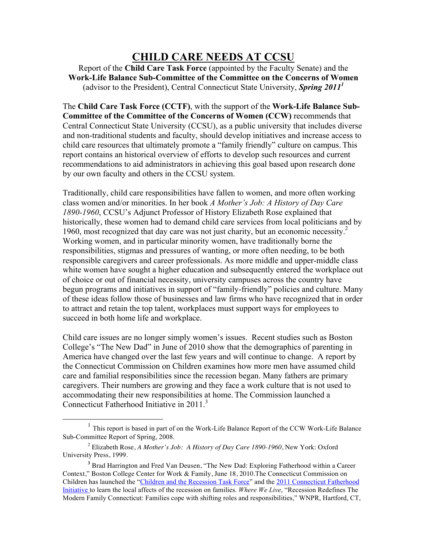# **CHILD CARE NEEDS AT CCSU**

Report of the **Child Care Task Force** (appointed by the Faculty Senate) and the **Work-Life Balance Sub-Committee of the Committee on the Concerns of Women** (advisor to the President), Central Connecticut State University, *Spring 20111*

The **Child Care Task Force (CCTF)**, with the support of the **Work-Life Balance Sub-Committee of the Committee of the Concerns of Women (CCW)** recommends that Central Connecticut State University (CCSU), as a public university that includes diverse and non-traditional students and faculty, should develop initiatives and increase access to child care resources that ultimately promote a "family friendly" culture on campus. This report contains an historical overview of efforts to develop such resources and current recommendations to aid administrators in achieving this goal based upon research done by our own faculty and others in the CCSU system.

Traditionally, child care responsibilities have fallen to women, and more often working class women and/or minorities. In her book *A Mother's Job: A History of Day Care 1890-1960*, CCSU's Adjunct Professor of History Elizabeth Rose explained that historically, these women had to demand child care services from local politicians and by 1960, most recognized that day care was not just charity, but an economic necessity.<sup>2</sup> Working women, and in particular minority women, have traditionally borne the responsibilities, stigmas and pressures of wanting, or more often needing, to be both responsible caregivers and career professionals. As more middle and upper-middle class white women have sought a higher education and subsequently entered the workplace out of choice or out of financial necessity, university campuses across the country have begun programs and initiatives in support of "family-friendly" policies and culture. Many of these ideas follow those of businesses and law firms who have recognized that in order to attract and retain the top talent, workplaces must support ways for employees to succeed in both home life and workplace.

Child care issues are no longer simply women's issues. Recent studies such as Boston College's "The New Dad" in June of 2010 show that the demographics of parenting in America have changed over the last few years and will continue to change. A report by the Connecticut Commission on Children examines how more men have assumed child care and familial responsibilities since the recession began. Many fathers are primary caregivers. Their numbers are growing and they face a work culture that is not used to accommodating their new responsibilities at home. The Commission launched a Connecticut Fatherhood Initiative in  $2011<sup>3</sup>$ 

 $<sup>1</sup>$  This report is based in part of on the Work-Life Balance Report of the CCW Work-Life Balance</sup> Sub-Committee Report of Spring, 2008.

<sup>2</sup> Elizabeth Rose, *A Mother's Job: A History of Day Care 1890-1960*, New York: Oxford University Press, 1999.

**<sup>3</sup>** Brad Harrington and Fred Van Deusen, "The New Dad: Exploring Fatherhood within a Career Context," Boston College Center for Work & Family, June 18, 2010.The Connecticut Commission on Children has launched the "Children and the Recession Task Force" and the 2011 Connecticut Fatherhood Initiative to learn the local affects of the recession on families. *Where We Live*, "Recession Redefines The Modern Family Connecticut: Families cope with shifting roles and responsibilities," WNPR, Hartford, CT,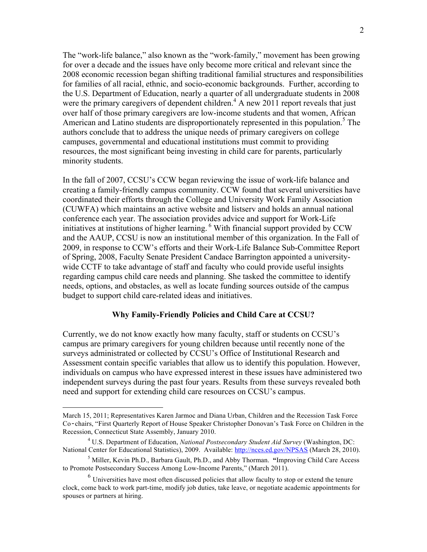The "work-life balance," also known as the "work-family," movement has been growing for over a decade and the issues have only become more critical and relevant since the 2008 economic recession began shifting traditional familial structures and responsibilities for families of all racial, ethnic, and socio-economic backgrounds. Further, according to the U.S. Department of Education, nearly a quarter of all undergraduate students in 2008 were the primary caregivers of dependent children.<sup>4</sup> A new 2011 report reveals that just over half of those primary caregivers are low-income students and that women, African American and Latino students are disproportionately represented in this population.<sup>5</sup> The authors conclude that to address the unique needs of primary caregivers on college campuses, governmental and educational institutions must commit to providing resources, the most significant being investing in child care for parents, particularly minority students.

In the fall of 2007, CCSU's CCW began reviewing the issue of work-life balance and creating a family-friendly campus community. CCW found that several universities have coordinated their efforts through the College and University Work Family Association (CUWFA) which maintains an active website and listserv and holds an annual national conference each year. The association provides advice and support for Work-Life initiatives at institutions of higher learning. <sup>6</sup> With financial support provided by CCW and the AAUP, CCSU is now an institutional member of this organization. In the Fall of 2009, in response to CCW's efforts and their Work-Life Balance Sub-Committee Report of Spring, 2008, Faculty Senate President Candace Barrington appointed a universitywide CCTF to take advantage of staff and faculty who could provide useful insights regarding campus child care needs and planning. She tasked the committee to identify needs, options, and obstacles, as well as locate funding sources outside of the campus budget to support child care-related ideas and initiatives.

# **Why Family-Friendly Policies and Child Care at CCSU?**

Currently, we do not know exactly how many faculty, staff or students on CCSU's campus are primary caregivers for young children because until recently none of the surveys administrated or collected by CCSU's Office of Institutional Research and Assessment contain specific variables that allow us to identify this population. However, individuals on campus who have expressed interest in these issues have administered two independent surveys during the past four years. Results from these surveys revealed both need and support for extending child care resources on CCSU's campus.

March 15, 2011; Representatives Karen Jarmoc and Diana Urban, Children and the Recession Task Force Co‐chairs, "First Quarterly Report of House Speaker Christopher Donovan's Task Force on Children in the Recession, Connecticut State Assembly, January 2010.

<sup>4</sup> U.S. Department of Education, *National Postsecondary Student Aid Survey* (Washington, DC: National Center for Educational Statistics), 2009. Available: http://nces.ed.gov/NPSAS (March 28, 2010).

<sup>5</sup> Miller, Kevin Ph.D., Barbara Gault, Ph.D., and Abby Thorman. **"**Improving Child Care Access to Promote Postsecondary Success Among Low-Income Parents," (March 2011).

<sup>&</sup>lt;sup>6</sup> Universities have most often discussed policies that allow faculty to stop or extend the tenure clock, come back to work part-time, modify job duties, take leave, or negotiate academic appointments for spouses or partners at hiring.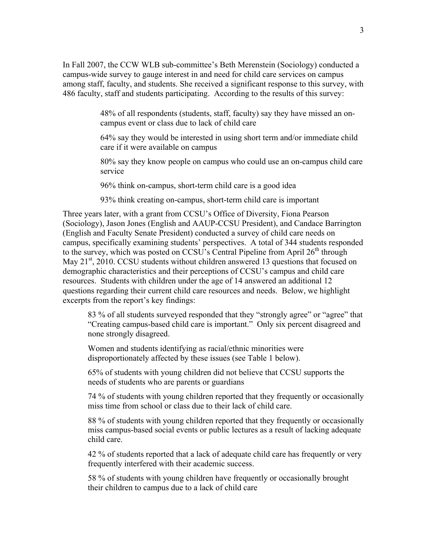In Fall 2007, the CCW WLB sub-committee's Beth Merenstein (Sociology) conducted a campus-wide survey to gauge interest in and need for child care services on campus among staff, faculty, and students. She received a significant response to this survey, with 486 faculty, staff and students participating. According to the results of this survey:

> 48% of all respondents (students, staff, faculty) say they have missed an oncampus event or class due to lack of child care

 64% say they would be interested in using short term and/or immediate child care if it were available on campus

 80% say they know people on campus who could use an on-campus child care service

96% think on-campus, short-term child care is a good idea

93% think creating on-campus, short-term child care is important

Three years later, with a grant from CCSU's Office of Diversity, Fiona Pearson (Sociology), Jason Jones (English and AAUP-CCSU President), and Candace Barrington (English and Faculty Senate President) conducted a survey of child care needs on campus, specifically examining students' perspectives. A total of 344 students responded to the survey, which was posted on CCSU's Central Pipeline from April  $26<sup>th</sup>$  through May  $21<sup>st</sup>$ , 2010. CCSU students without children answered 13 questions that focused on demographic characteristics and their perceptions of CCSU's campus and child care resources. Students with children under the age of 14 answered an additional 12 questions regarding their current child care resources and needs. Below, we highlight excerpts from the report's key findings:

 83 % of all students surveyed responded that they "strongly agree" or "agree" that "Creating campus-based child care is important." Only six percent disagreed and none strongly disagreed.

 Women and students identifying as racial/ethnic minorities were disproportionately affected by these issues (see Table 1 below).

 65% of students with young children did not believe that CCSU supports the needs of students who are parents or guardians

 74 % of students with young children reported that they frequently or occasionally miss time from school or class due to their lack of child care.

 88 % of students with young children reported that they frequently or occasionally miss campus-based social events or public lectures as a result of lacking adequate child care.

 42 % of students reported that a lack of adequate child care has frequently or very frequently interfered with their academic success.

 58 % of students with young children have frequently or occasionally brought their children to campus due to a lack of child care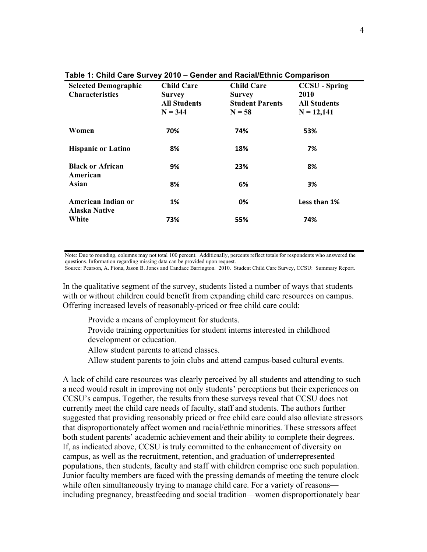| <b>Selected Demographic</b><br><b>Characteristics</b> | <b>Child Care</b><br><b>Survey</b><br><b>All Students</b><br>$N = 344$ | <b>Child Care</b><br><b>Survey</b><br><b>Student Parents</b><br>$N = 58$ | <b>CCSU</b> - Spring<br>2010<br><b>All Students</b><br>$N = 12,141$ |
|-------------------------------------------------------|------------------------------------------------------------------------|--------------------------------------------------------------------------|---------------------------------------------------------------------|
| Women                                                 | 70%                                                                    | 74%                                                                      | 53%                                                                 |
| <b>Hispanic or Latino</b>                             | 8%                                                                     | 18%                                                                      | 7%                                                                  |
| <b>Black or African</b><br>American                   | 9%                                                                     | 23%                                                                      | 8%                                                                  |
| Asian                                                 | 8%                                                                     | 6%                                                                       | 3%                                                                  |
| American Indian or<br><b>Alaska Native</b>            | 1%                                                                     | 0%                                                                       | Less than 1%                                                        |
| White                                                 | 73%                                                                    | 55%                                                                      | 74%                                                                 |

**Table 1: Child Care Survey 2010 – Gender and Racial/Ethnic Comparison**

Note: Due to rounding, columns may not total 100 percent. Additionally, percents reflect totals for respondents who answered the questions. Information regarding missing data can be provided upon request.

Source: Pearson, A. Fiona, Jason B. Jones and Candace Barrington. 2010. Student Child Care Survey, CCSU: Summary Report.

In the qualitative segment of the survey, students listed a number of ways that students with or without children could benefit from expanding child care resources on campus. Offering increased levels of reasonably-priced or free child care could:

Provide a means of employment for students.

 Provide training opportunities for student interns interested in childhood development or education.

Allow student parents to attend classes.

Allow student parents to join clubs and attend campus-based cultural events.

A lack of child care resources was clearly perceived by all students and attending to such a need would result in improving not only students' perceptions but their experiences on CCSU's campus. Together, the results from these surveys reveal that CCSU does not currently meet the child care needs of faculty, staff and students. The authors further suggested that providing reasonably priced or free child care could also alleviate stressors that disproportionately affect women and racial/ethnic minorities. These stressors affect both student parents' academic achievement and their ability to complete their degrees. If, as indicated above, CCSU is truly committed to the enhancement of diversity on campus, as well as the recruitment, retention, and graduation of underrepresented populations, then students, faculty and staff with children comprise one such population. Junior faculty members are faced with the pressing demands of meeting the tenure clock while often simultaneously trying to manage child care. For a variety of reasons including pregnancy, breastfeeding and social tradition—women disproportionately bear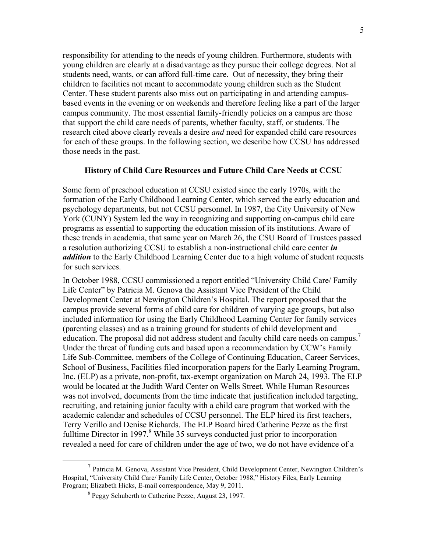responsibility for attending to the needs of young children. Furthermore, students with young children are clearly at a disadvantage as they pursue their college degrees. Not al students need, wants, or can afford full-time care. Out of necessity, they bring their children to facilities not meant to accommodate young children such as the Student Center. These student parents also miss out on participating in and attending campusbased events in the evening or on weekends and therefore feeling like a part of the larger campus community. The most essential family-friendly policies on a campus are those that support the child care needs of parents, whether faculty, staff, or students. The research cited above clearly reveals a desire *and* need for expanded child care resources for each of these groups. In the following section, we describe how CCSU has addressed those needs in the past.

### **History of Child Care Resources and Future Child Care Needs at CCSU**

Some form of preschool education at CCSU existed since the early 1970s, with the formation of the Early Childhood Learning Center, which served the early education and psychology departments, but not CCSU personnel. In 1987, the City University of New York (CUNY) System led the way in recognizing and supporting on-campus child care programs as essential to supporting the education mission of its institutions. Aware of these trends in academia, that same year on March 26, the CSU Board of Trustees passed a resolution authorizing CCSU to establish a non-instructional child care center *in addition* to the Early Childhood Learning Center due to a high volume of student requests for such services.

In October 1988, CCSU commissioned a report entitled "University Child Care/ Family Life Center" by Patricia M. Genova the Assistant Vice President of the Child Development Center at Newington Children's Hospital. The report proposed that the campus provide several forms of child care for children of varying age groups, but also included information for using the Early Childhood Learning Center for family services (parenting classes) and as a training ground for students of child development and education. The proposal did not address student and faculty child care needs on campus.<sup>7</sup> Under the threat of funding cuts and based upon a recommendation by CCW's Family Life Sub-Committee, members of the College of Continuing Education, Career Services, School of Business, Facilities filed incorporation papers for the Early Learning Program, Inc. (ELP) as a private, non-profit, tax-exempt organization on March 24, 1993. The ELP would be located at the Judith Ward Center on Wells Street. While Human Resources was not involved, documents from the time indicate that justification included targeting, recruiting, and retaining junior faculty with a child care program that worked with the academic calendar and schedules of CCSU personnel. The ELP hired its first teachers, Terry Verillo and Denise Richards. The ELP Board hired Catherine Pezze as the first fulltime Director in 1997.<sup>8</sup> While 35 surveys conducted just prior to incorporation revealed a need for care of children under the age of two, we do not have evidence of a

 $<sup>7</sup>$  Patricia M. Genova, Assistant Vice President, Child Development Center, Newington Children's</sup> Hospital, "University Child Care/ Family Life Center, October 1988," History Files, Early Learning Program; Elizabeth Hicks, E-mail correspondence, May 9, 2011.

<sup>&</sup>lt;sup>8</sup> Peggy Schuberth to Catherine Pezze, August 23, 1997.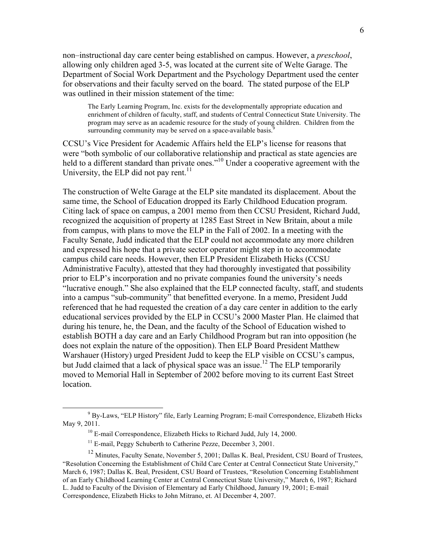non–instructional day care center being established on campus. However, a *preschool*, allowing only children aged 3-5, was located at the current site of Welte Garage. The Department of Social Work Department and the Psychology Department used the center for observations and their faculty served on the board. The stated purpose of the ELP was outlined in their mission statement of the time:

The Early Learning Program, Inc. exists for the developmentally appropriate education and enrichment of children of faculty, staff, and students of Central Connecticut State University. The program may serve as an academic resource for the study of young children. Children from the surrounding community may be served on a space-available basis.<sup>9</sup>

CCSU's Vice President for Academic Affairs held the ELP's license for reasons that were "both symbolic of our collaborative relationship and practical as state agencies are held to a different standard than private ones."<sup>10</sup> Under a cooperative agreement with the University, the ELP did not pay rent.<sup>11</sup>

The construction of Welte Garage at the ELP site mandated its displacement. About the same time, the School of Education dropped its Early Childhood Education program. Citing lack of space on campus, a 2001 memo from then CCSU President, Richard Judd, recognized the acquisition of property at 1285 East Street in New Britain, about a mile from campus, with plans to move the ELP in the Fall of 2002. In a meeting with the Faculty Senate, Judd indicated that the ELP could not accommodate any more children and expressed his hope that a private sector operator might step in to accommodate campus child care needs. However, then ELP President Elizabeth Hicks (CCSU Administrative Faculty), attested that they had thoroughly investigated that possibility prior to ELP's incorporation and no private companies found the university's needs "lucrative enough." She also explained that the ELP connected faculty, staff, and students into a campus "sub-community" that benefitted everyone. In a memo, President Judd referenced that he had requested the creation of a day care center in addition to the early educational services provided by the ELP in CCSU's 2000 Master Plan. He claimed that during his tenure, he, the Dean, and the faculty of the School of Education wished to establish BOTH a day care and an Early Childhood Program but ran into opposition (he does not explain the nature of the opposition). Then ELP Board President Matthew Warshauer (History) urged President Judd to keep the ELP visible on CCSU's campus, but Judd claimed that a lack of physical space was an issue.<sup>12</sup> The ELP temporarily moved to Memorial Hall in September of 2002 before moving to its current East Street location.

 $\frac{1}{9}$  By-Laws, "ELP History" file, Early Learning Program; E-mail Correspondence, Elizabeth Hicks May 9, 2011.

<sup>&</sup>lt;sup>10</sup> E-mail Correspondence, Elizabeth Hicks to Richard Judd, July 14, 2000.

<sup>&</sup>lt;sup>11</sup> E-mail, Peggy Schuberth to Catherine Pezze, December 3, 2001.

<sup>&</sup>lt;sup>12</sup> Minutes, Faculty Senate, November 5, 2001; Dallas K. Beal, President, CSU Board of Trustees, "Resolution Concerning the Establishment of Child Care Center at Central Connecticut State University," March 6, 1987; Dallas K. Beal, President, CSU Board of Trustees, "Resolution Concerning Establishment of an Early Childhood Learning Center at Central Connecticut State University," March 6, 1987; Richard L. Judd to Faculty of the Division of Elementary ad Early Childhood, January 19, 2001; E-mail Correspondence, Elizabeth Hicks to John Mitrano, et. Al December 4, 2007.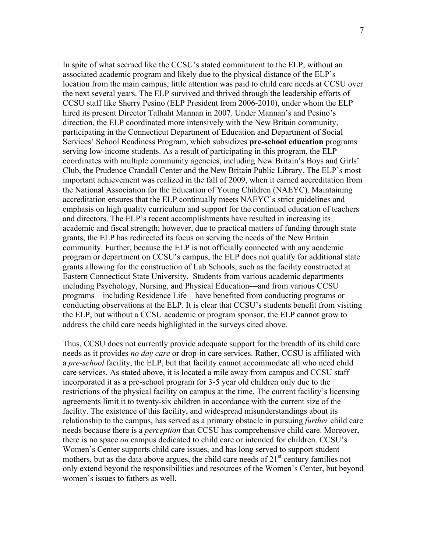In spite of what seemed like the CCSU's stated commitment to the ELP, without an associated academic program and likely due to the physical distance of the ELP's location from the main campus, little attention was paid to child care needs at CCSU over the next several years. The ELP survived and thrived through the leadership efforts of CCSU staff like Sherry Pesino (ELP President from 2006-2010), under whom the ELP hired its present Director Talhaht Mannan in 2007. Under Mannan's and Pesino's direction, the ELP coordinated more intensively with the New Britain community, participating in the Connecticut Department of Education and Department of Social Services' School Readiness Program, which subsidizes **pre-school education** programs serving low-income students. As a result of participating in this program, the ELP coordinates with multiple community agencies, including New Britain's Boys and Girls' Club, the Prudence Crandall Center and the New Britain Public Library. The ELP's most important achievement was realized in the fall of 2009, when it earned accreditation from the National Association for the Education of Young Children (NAEYC). Maintaining accreditation ensures that the ELP continually meets NAEYC's strict guidelines and emphasis on high quality curriculum and support for the continued education of teachers and directors. The ELP's recent accomplishments have resulted in increasing its academic and fiscal strength; however, due to practical matters of funding through state grants, the ELP has redirected its focus on serving the needs of the New Britain community. Further, because the ELP is not officially connected with any academic program or department on CCSU's campus, the ELP does not qualify for additional state grants allowing for the construction of Lab Schools, such as the facility constructed at Eastern Connecticut State University. Students from various academic departments including Psychology, Nursing, and Physical Education—and from various CCSU programs—including Residence Life—have benefited from conducting programs or conducting observations at the ELP. It is clear that CCSU's students benefit from visiting the ELP, but without a CCSU academic or program sponsor, the ELP cannot grow to address the child care needs highlighted in the surveys cited above.

Thus, CCSU does not currently provide adequate support for the breadth of its child care needs as it provides *no day care* or drop-in care services. Rather, CCSU is affiliated with a *pre-school* facility, the ELP, but that facility cannot accommodate all who need child care services. As stated above, it is located a mile away from campus and CCSU staff incorporated it as a pre-school program for 3-5 year old children only due to the restrictions of the physical facility on campus at the time. The current facility's licensing agreements limit it to twenty-six children in accordance with the current size of the facility. The existence of this facility, and widespread misunderstandings about its relationship to the campus, has served as a primary obstacle in pursuing *further* child care needs because there is a *perception* that CCSU has comprehensive child care. Moreover, there is no space *on* campus dedicated to child care or intended for children. CCSU's Women's Center supports child care issues, and has long served to support student mothers, but as the data above argues, the child care needs of  $21<sup>st</sup>$  century families not only extend beyond the responsibilities and resources of the Women's Center, but beyond women's issues to fathers as well.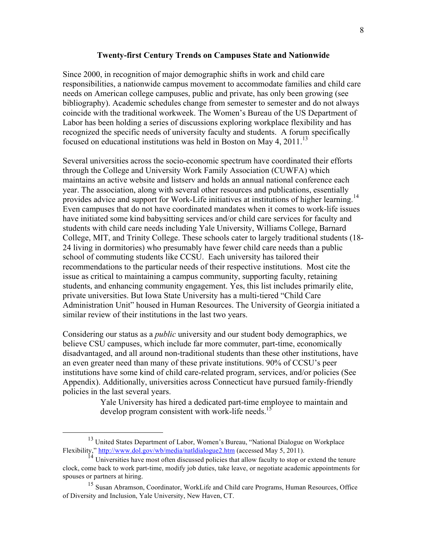### **Twenty-first Century Trends on Campuses State and Nationwide**

Since 2000, in recognition of major demographic shifts in work and child care responsibilities, a nationwide campus movement to accommodate families and child care needs on American college campuses, public and private, has only been growing (see bibliography). Academic schedules change from semester to semester and do not always coincide with the traditional workweek. The Women's Bureau of the US Department of Labor has been holding a series of discussions exploring workplace flexibility and has recognized the specific needs of university faculty and students. A forum specifically focused on educational institutions was held in Boston on May 4,  $2011$ <sup>13</sup>

Several universities across the socio-economic spectrum have coordinated their efforts through the College and University Work Family Association (CUWFA) which maintains an active website and listserv and holds an annual national conference each year. The association, along with several other resources and publications, essentially provides advice and support for Work-Life initiatives at institutions of higher learning.<sup>14</sup> Even campuses that do not have coordinated mandates when it comes to work-life issues have initiated some kind babysitting services and/or child care services for faculty and students with child care needs including Yale University, Williams College, Barnard College, MIT, and Trinity College. These schools cater to largely traditional students (18- 24 living in dormitories) who presumably have fewer child care needs than a public school of commuting students like CCSU. Each university has tailored their recommendations to the particular needs of their respective institutions. Most cite the issue as critical to maintaining a campus community, supporting faculty, retaining students, and enhancing community engagement. Yes, this list includes primarily elite, private universities. But Iowa State University has a multi-tiered "Child Care Administration Unit" housed in Human Resources. The University of Georgia initiated a similar review of their institutions in the last two years.

Considering our status as a *public* university and our student body demographics, we believe CSU campuses, which include far more commuter, part-time, economically disadvantaged, and all around non-traditional students than these other institutions, have an even greater need than many of these private institutions. 90% of CCSU's peer institutions have some kind of child care-related program, services, and/or policies (See Appendix). Additionally, universities across Connecticut have pursued family-friendly policies in the last several years.

> Yale University has hired a dedicated part-time employee to maintain and develop program consistent with work-life needs.<sup>15</sup>

<sup>&</sup>lt;sup>13</sup> United States Department of Labor, Women's Bureau, "National Dialogue on Workplace Flexibility," http://www.dol.gov/wb/media/natldialogue2.htm (accessed May 5, 2011).

 $\frac{14}{14}$  Universities have most often discussed policies that allow faculty to stop or extend the tenure clock, come back to work part-time, modify job duties, take leave, or negotiate academic appointments for spouses or partners at hiring.

<sup>&</sup>lt;sup>15</sup> Susan Abramson, Coordinator, WorkLife and Child care Programs, Human Resources, Office of Diversity and Inclusion, Yale University, New Haven, CT.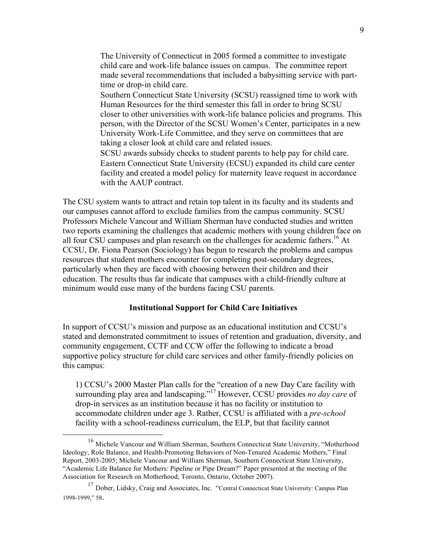The University of Connecticut in 2005 formed a committee to investigate child care and work-life balance issues on campus. The committee report made several recommendations that included a babysitting service with parttime or drop-in child care.

 Southern Connecticut State University (SCSU) reassigned time to work with Human Resources for the third semester this fall in order to bring SCSU closer to other universities with work-life balance policies and programs. This person, with the Director of the SCSU Women's Center, participates in a new University Work-Life Committee, and they serve on committees that are taking a closer look at child care and related issues.

 SCSU awards subsidy checks to student parents to help pay for child care. Eastern Connecticut State University (ECSU) expanded its child care center facility and created a model policy for maternity leave request in accordance with the AAUP contract.

The CSU system wants to attract and retain top talent in its faculty and its students and our campuses cannot afford to exclude families from the campus community. SCSU Professors Michele Vancour and William Sherman have conducted studies and written two reports examining the challenges that academic mothers with young children face on all four CSU campuses and plan research on the challenges for academic fathers.<sup>16</sup> At CCSU, Dr. Fiona Pearson (Sociology) has begun to research the problems and campus resources that student mothers encounter for completing post-secondary degrees, particularly when they are faced with choosing between their children and their education. The results thus far indicate that campuses with a child-friendly culture at minimum would ease many of the burdens facing CSU parents.

### **Institutional Support for Child Care Initiatives**

In support of CCSU's mission and purpose as an educational institution and CCSU's stated and demonstrated commitment to issues of retention and graduation, diversity, and community engagement, CCTF and CCW offer the following to indicate a broad supportive policy structure for child care services and other family-friendly policies on this campus:

1) CCSU's 2000 Master Plan calls for the "creation of a new Day Care facility with surrounding play area and landscaping."17 However, CCSU provides *no day care* of drop-in services as an institution because it has no facility or institution to accommodate children under age 3. Rather, CCSU is affiliated with a *pre-school* facility with a school-readiness curriculum, the ELP, but that facility cannot

 <sup>16</sup> Michele Vancour and William Sherman, Southern Connecticut State University, "Motherhood Ideology, Role Balance, and Health-Promoting Behaviors of Non-Tenured Academic Mothers," Final Report, 2003-2005; Michele Vancour and William Sherman, Southern Connecticut State University, "Academic Life Balance for Mothers: Pipeline or Pipe Dream?" Paper presented at the meeting of the Association for Research on Motherhood, Toronto, Ontario, October 2007).

<sup>&</sup>lt;sup>17</sup> Dober, Lidsky, Craig and Associates, Inc. "Central Connecticut State University: Campus Plan 1998-1999," 58.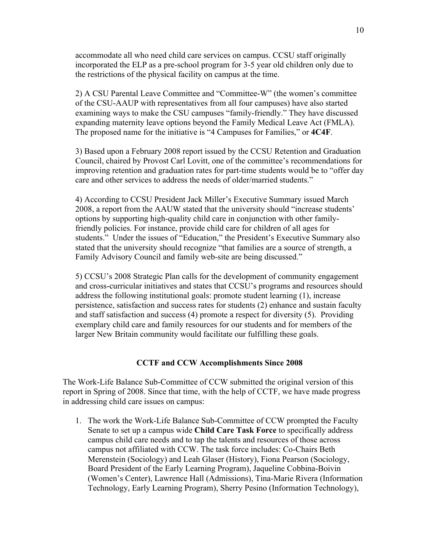accommodate all who need child care services on campus. CCSU staff originally incorporated the ELP as a pre-school program for 3-5 year old children only due to the restrictions of the physical facility on campus at the time.

2) A CSU Parental Leave Committee and "Committee-W" (the women's committee of the CSU-AAUP with representatives from all four campuses) have also started examining ways to make the CSU campuses "family-friendly." They have discussed expanding maternity leave options beyond the Family Medical Leave Act (FMLA). The proposed name for the initiative is "4 Campuses for Families," or **4C4F**.

3) Based upon a February 2008 report issued by the CCSU Retention and Graduation Council, chaired by Provost Carl Lovitt, one of the committee's recommendations for improving retention and graduation rates for part-time students would be to "offer day care and other services to address the needs of older/married students."

4) According to CCSU President Jack Miller's Executive Summary issued March 2008, a report from the AAUW stated that the university should "increase students' options by supporting high-quality child care in conjunction with other familyfriendly policies. For instance, provide child care for children of all ages for students." Under the issues of "Education," the President's Executive Summary also stated that the university should recognize "that families are a source of strength, a Family Advisory Council and family web-site are being discussed."

5) CCSU's 2008 Strategic Plan calls for the development of community engagement and cross-curricular initiatives and states that CCSU's programs and resources should address the following institutional goals: promote student learning (1), increase persistence, satisfaction and success rates for students (2) enhance and sustain faculty and staff satisfaction and success (4) promote a respect for diversity (5). Providing exemplary child care and family resources for our students and for members of the larger New Britain community would facilitate our fulfilling these goals.

### **CCTF and CCW Accomplishments Since 2008**

The Work-Life Balance Sub-Committee of CCW submitted the original version of this report in Spring of 2008. Since that time, with the help of CCTF, we have made progress in addressing child care issues on campus:

1. The work the Work-Life Balance Sub-Committee of CCW prompted the Faculty Senate to set up a campus wide **Child Care Task Force** to specifically address campus child care needs and to tap the talents and resources of those across campus not affiliated with CCW. The task force includes: Co-Chairs Beth Merenstein (Sociology) and Leah Glaser (History), Fiona Pearson (Sociology, Board President of the Early Learning Program), Jaqueline Cobbina-Boivin (Women's Center), Lawrence Hall (Admissions), Tina-Marie Rivera (Information Technology, Early Learning Program), Sherry Pesino (Information Technology),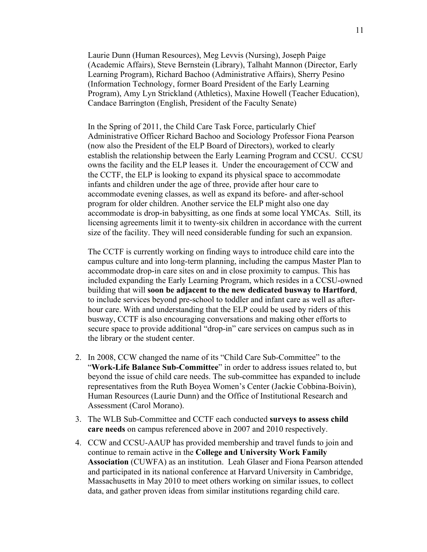Laurie Dunn (Human Resources), Meg Levvis (Nursing), Joseph Paige (Academic Affairs), Steve Bernstein (Library), Talhaht Mannon (Director, Early Learning Program), Richard Bachoo (Administrative Affairs), Sherry Pesino (Information Technology, former Board President of the Early Learning Program), Amy Lyn Strickland (Athletics), Maxine Howell (Teacher Education), Candace Barrington (English, President of the Faculty Senate)

In the Spring of 2011, the Child Care Task Force, particularly Chief Administrative Officer Richard Bachoo and Sociology Professor Fiona Pearson (now also the President of the ELP Board of Directors), worked to clearly establish the relationship between the Early Learning Program and CCSU. CCSU owns the facility and the ELP leases it. Under the encouragement of CCW and the CCTF, the ELP is looking to expand its physical space to accommodate infants and children under the age of three, provide after hour care to accommodate evening classes, as well as expand its before- and after-school program for older children. Another service the ELP might also one day accommodate is drop-in babysitting, as one finds at some local YMCAs. Still, its licensing agreements limit it to twenty-six children in accordance with the current size of the facility. They will need considerable funding for such an expansion.

The CCTF is currently working on finding ways to introduce child care into the campus culture and into long-term planning, including the campus Master Plan to accommodate drop-in care sites on and in close proximity to campus. This has included expanding the Early Learning Program, which resides in a CCSU-owned building that will **soon be adjacent to the new dedicated busway to Hartford**, to include services beyond pre-school to toddler and infant care as well as afterhour care. With and understanding that the ELP could be used by riders of this busway, CCTF is also encouraging conversations and making other efforts to secure space to provide additional "drop-in" care services on campus such as in the library or the student center.

- 2. In 2008, CCW changed the name of its "Child Care Sub-Committee" to the "**Work-Life Balance Sub-Committee**" in order to address issues related to, but beyond the issue of child care needs. The sub-committee has expanded to include representatives from the Ruth Boyea Women's Center (Jackie Cobbina-Boivin), Human Resources (Laurie Dunn) and the Office of Institutional Research and Assessment (Carol Morano).
- 3. The WLB Sub-Committee and CCTF each conducted **surveys to assess child care needs** on campus referenced above in 2007 and 2010 respectively.
- 4. CCW and CCSU-AAUP has provided membership and travel funds to join and continue to remain active in the **College and University Work Family Association** (CUWFA) as an institution. Leah Glaser and Fiona Pearson attended and participated in its national conference at Harvard University in Cambridge, Massachusetts in May 2010 to meet others working on similar issues, to collect data, and gather proven ideas from similar institutions regarding child care.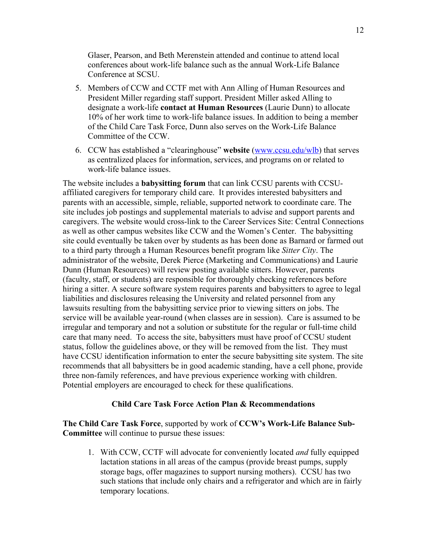Glaser, Pearson, and Beth Merenstein attended and continue to attend local conferences about work-life balance such as the annual Work-Life Balance Conference at SCSU.

- 5. Members of CCW and CCTF met with Ann Alling of Human Resources and President Miller regarding staff support. President Miller asked Alling to designate a work-life **contact at Human Resources** (Laurie Dunn) to allocate 10% of her work time to work-life balance issues. In addition to being a member of the Child Care Task Force, Dunn also serves on the Work-Life Balance Committee of the CCW.
- 6. CCW has established a "clearinghouse" **website** (www.ccsu.edu/wlb) that serves as centralized places for information, services, and programs on or related to work-life balance issues.

The website includes a **babysitting forum** that can link CCSU parents with CCSUaffiliated caregivers for temporary child care. It provides interested babysitters and parents with an accessible, simple, reliable, supported network to coordinate care. The site includes job postings and supplemental materials to advise and support parents and caregivers. The website would cross-link to the Career Services Site: Central Connections as well as other campus websites like CCW and the Women's Center. The babysitting site could eventually be taken over by students as has been done as Barnard or farmed out to a third party through a Human Resources benefit program like *Sitter City*. The administrator of the website, Derek Pierce (Marketing and Communications) and Laurie Dunn (Human Resources) will review posting available sitters. However, parents (faculty, staff, or students) are responsible for thoroughly checking references before hiring a sitter. A secure software system requires parents and babysitters to agree to legal liabilities and disclosures releasing the University and related personnel from any lawsuits resulting from the babysitting service prior to viewing sitters on jobs. The service will be available year-round (when classes are in session). Care is assumed to be irregular and temporary and not a solution or substitute for the regular or full-time child care that many need. To access the site, babysitters must have proof of CCSU student status, follow the guidelines above, or they will be removed from the list. They must have CCSU identification information to enter the secure babysitting site system. The site recommends that all babysitters be in good academic standing, have a cell phone, provide three non-family references, and have previous experience working with children. Potential employers are encouraged to check for these qualifications.

# **Child Care Task Force Action Plan & Recommendations**

**The Child Care Task Force**, supported by work of **CCW's Work-Life Balance Sub-Committee** will continue to pursue these issues:

1. With CCW, CCTF will advocate for conveniently located *and* fully equipped lactation stations in all areas of the campus (provide breast pumps, supply storage bags, offer magazines to support nursing mothers). CCSU has two such stations that include only chairs and a refrigerator and which are in fairly temporary locations.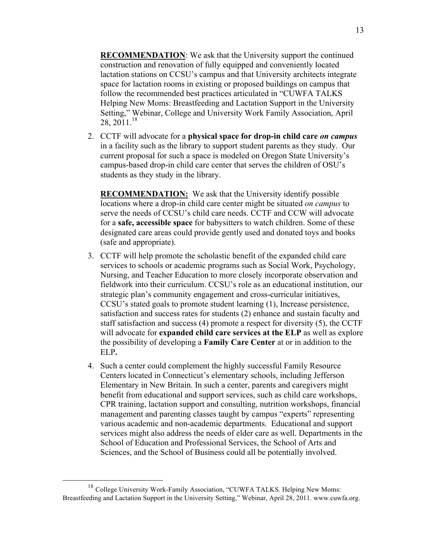**RECOMMENDATION**: We ask that the University support the continued construction and renovation of fully equipped and conveniently located lactation stations on CCSU's campus and that University architects integrate space for lactation rooms in existing or proposed buildings on campus that follow the recommended best practices articulated in "CUWFA TALKS Helping New Moms: Breastfeeding and Lactation Support in the University Setting," Webinar, College and University Work Family Association, April 28, 2011.<sup>18</sup>

2. CCTF will advocate for a **physical space for drop-in child care** *on campus* in a facility such as the library to support student parents as they study. Our current proposal for such a space is modeled on Oregon State University's campus-based drop-in child care center that serves the children of OSU's students as they study in the library.

**RECOMMENDATION:** We ask that the University identify possible locations where a drop-in child care center might be situated *on campus* to serve the needs of CCSU's child care needs. CCTF and CCW will advocate for a **safe, accessible space** for babysitters to watch children. Some of these designated care areas could provide gently used and donated toys and books (safe and appropriate).

- 3. CCTF will help promote the scholastic benefit of the expanded child care services to schools or academic programs such as Social Work, Psychology, Nursing, and Teacher Education to more closely incorporate observation and fieldwork into their curriculum. CCSU's role as an educational institution, our strategic plan's community engagement and cross-curricular initiatives, CCSU's stated goals to promote student learning (1), Increase persistence, satisfaction and success rates for students (2) enhance and sustain faculty and staff satisfaction and success (4) promote a respect for diversity (5), the CCTF will advocate for **expanded child care services at the ELP** as well as explore the possibility of developing a **Family Care Center** at or in addition to the ELP**.**
- 4. Such a center could complement the highly successful Family Resource Centers located in Connecticut's elementary schools, including Jefferson Elementary in New Britain. In such a center, parents and caregivers might benefit from educational and support services, such as child care workshops, CPR training, lactation support and consulting, nutrition workshops, financial management and parenting classes taught by campus "experts" representing various academic and non-academic departments. Educational and support services might also address the needs of elder care as well. Departments in the School of Education and Professional Services, the School of Arts and Sciences, and the School of Business could all be potentially involved.

<sup>&</sup>lt;sup>18</sup> College University Work-Family Association, "CUWFA TALKS. Helping New Moms: Breastfeeding and Lactation Support in the University Setting," Webinar, April 28, 2011. www.cuwfa.org.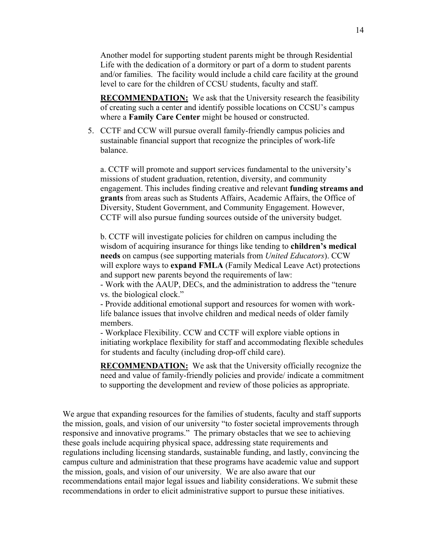Another model for supporting student parents might be through Residential Life with the dedication of a dormitory or part of a dorm to student parents and/or families. The facility would include a child care facility at the ground level to care for the children of CCSU students, faculty and staff.

**RECOMMENDATION:** We ask that the University research the feasibility of creating such a center and identify possible locations on CCSU's campus where a **Family Care Center** might be housed or constructed.

5. CCTF and CCW will pursue overall family-friendly campus policies and sustainable financial support that recognize the principles of work-life balance.

a. CCTF will promote and support services fundamental to the university's missions of student graduation, retention, diversity, and community engagement. This includes finding creative and relevant **funding streams and grants** from areas such as Students Affairs, Academic Affairs, the Office of Diversity, Student Government, and Community Engagement. However, CCTF will also pursue funding sources outside of the university budget.

b. CCTF will investigate policies for children on campus including the wisdom of acquiring insurance for things like tending to **children's medical needs** on campus (see supporting materials from *United Educators*). CCW will explore ways to **expand FMLA** (Family Medical Leave Act) protections and support new parents beyond the requirements of law:

- Work with the AAUP, DECs, and the administration to address the "tenure vs. the biological clock."

- Provide additional emotional support and resources for women with worklife balance issues that involve children and medical needs of older family members.

- Workplace Flexibility. CCW and CCTF will explore viable options in initiating workplace flexibility for staff and accommodating flexible schedules for students and faculty (including drop-off child care).

**RECOMMENDATION:** We ask that the University officially recognize the need and value of family-friendly policies and provide/ indicate a commitment to supporting the development and review of those policies as appropriate.

We argue that expanding resources for the families of students, faculty and staff supports the mission, goals, and vision of our university "to foster societal improvements through responsive and innovative programs." The primary obstacles that we see to achieving these goals include acquiring physical space, addressing state requirements and regulations including licensing standards, sustainable funding, and lastly, convincing the campus culture and administration that these programs have academic value and support the mission, goals, and vision of our university. We are also aware that our recommendations entail major legal issues and liability considerations. We submit these recommendations in order to elicit administrative support to pursue these initiatives.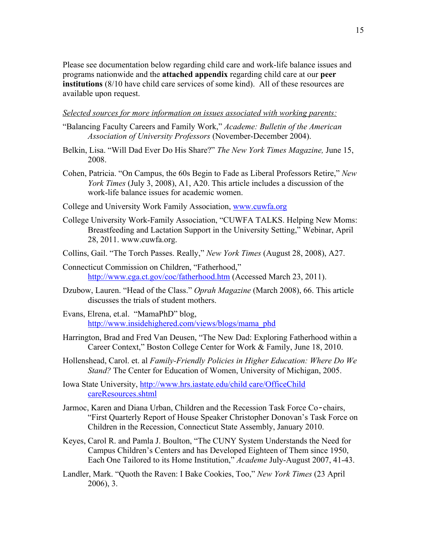Please see documentation below regarding child care and work-life balance issues and programs nationwide and the **attached appendix** regarding child care at our **peer institutions** (8/10 have child care services of some kind). All of these resources are available upon request.

# *Selected sources for more information on issues associated with working parents:*

- "Balancing Faculty Careers and Family Work," *Academe: Bulletin of the American Association of University Professors* (November-December 2004).
- Belkin, Lisa. "Will Dad Ever Do His Share?" *The New York Times Magazine,* June 15, 2008.
- Cohen, Patricia. "On Campus, the 60s Begin to Fade as Liberal Professors Retire," *New York Times* (July 3, 2008), A1, A20. This article includes a discussion of the work-life balance issues for academic women.
- College and University Work Family Association, www.cuwfa.org
- College University Work-Family Association, "CUWFA TALKS. Helping New Moms: Breastfeeding and Lactation Support in the University Setting," Webinar, April 28, 2011. www.cuwfa.org.
- Collins, Gail. "The Torch Passes. Really," *New York Times* (August 28, 2008), A27.
- Connecticut Commission on Children, "Fatherhood," http://www.cga.ct.gov/coc/fatherhood.htm (Accessed March 23, 2011).
- Dzubow, Lauren. "Head of the Class." *Oprah Magazine* (March 2008), 66. This article discusses the trials of student mothers.
- Evans, Elrena, et.al. "MamaPhD" blog, http://www.insidehighered.com/views/blogs/mama\_phd
- Harrington, Brad and Fred Van Deusen, "The New Dad: Exploring Fatherhood within a Career Context," Boston College Center for Work & Family, June 18, 2010.
- Hollenshead, Carol. et. al *Family-Friendly Policies in Higher Education: Where Do We Stand?* The Center for Education of Women, University of Michigan, 2005.
- Iowa State University, http://www.hrs.iastate.edu/child care/OfficeChild careResources.shtml
- Jarmoc, Karen and Diana Urban, Children and the Recession Task Force Co‐chairs, "First Quarterly Report of House Speaker Christopher Donovan's Task Force on Children in the Recession, Connecticut State Assembly, January 2010.
- Keyes, Carol R. and Pamla J. Boulton, "The CUNY System Understands the Need for Campus Children's Centers and has Developed Eighteen of Them since 1950, Each One Tailored to its Home Institution," *Academe* July-August 2007, 41-43.
- Landler, Mark. "Quoth the Raven: I Bake Cookies, Too," *New York Times* (23 April 2006), 3.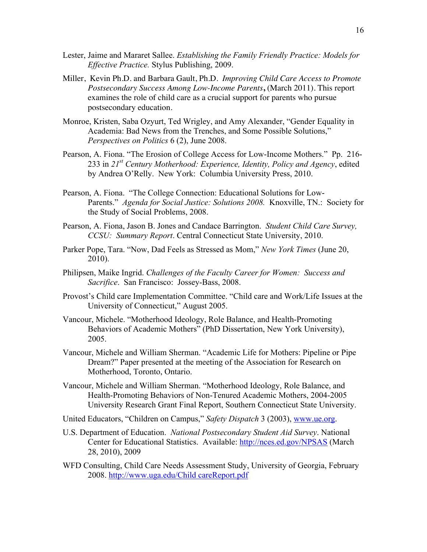- Lester, Jaime and Mararet Sallee. *Establishing the Family Friendly Practice: Models for Effective Practice.* Stylus Publishing, 2009.
- Miller, Kevin Ph.D. and Barbara Gault, Ph.D. *Improving Child Care Access to Promote Postsecondary Success Among Low-Income Parents***,** (March 2011). This report examines the role of child care as a crucial support for parents who pursue postsecondary education.
- Monroe, Kristen, Saba Ozyurt, Ted Wrigley, and Amy Alexander, "Gender Equality in Academia: Bad News from the Trenches, and Some Possible Solutions," *Perspectives on Politics* 6 (2), June 2008.
- Pearson, A. Fiona. "The Erosion of College Access for Low-Income Mothers." Pp. 216- 233 in *21st Century Motherhood: Experience, Identity, Policy and Agency*, edited by Andrea O'Relly. New York: Columbia University Press, 2010.
- Pearson, A. Fiona. "The College Connection: Educational Solutions for Low-Parents." *Agenda for Social Justice: Solutions 2008.* Knoxville, TN.: Society for the Study of Social Problems, 2008.
- Pearson, A. Fiona, Jason B. Jones and Candace Barrington. *Student Child Care Survey, CCSU: Summary Report*. Central Connecticut State University, 2010.
- Parker Pope, Tara. "Now, Dad Feels as Stressed as Mom," *New York Times* (June 20, 2010).
- Philipsen, Maike Ingrid. *Challenges of the Faculty Career for Women: Success and Sacrifice*. San Francisco: Jossey-Bass, 2008.
- Provost's Child care Implementation Committee. "Child care and Work/Life Issues at the University of Connecticut," August 2005.
- Vancour, Michele. "Motherhood Ideology, Role Balance, and Health-Promoting Behaviors of Academic Mothers" (PhD Dissertation, New York University), 2005.
- Vancour, Michele and William Sherman. "Academic Life for Mothers: Pipeline or Pipe Dream?" Paper presented at the meeting of the Association for Research on Motherhood, Toronto, Ontario.
- Vancour, Michele and William Sherman. "Motherhood Ideology, Role Balance, and Health-Promoting Behaviors of Non-Tenured Academic Mothers, 2004-2005 University Research Grant Final Report, Southern Connecticut State University.
- United Educators, "Children on Campus," *Safety Dispatch* 3 (2003), www.ue.org.
- U.S. Department of Education. *National Postsecondary Student Aid Survey*. National Center for Educational Statistics. Available: http://nces.ed.gov/NPSAS (March 28, 2010), 2009
- WFD Consulting, Child Care Needs Assessment Study, University of Georgia, February 2008. http://www.uga.edu/Child careReport.pdf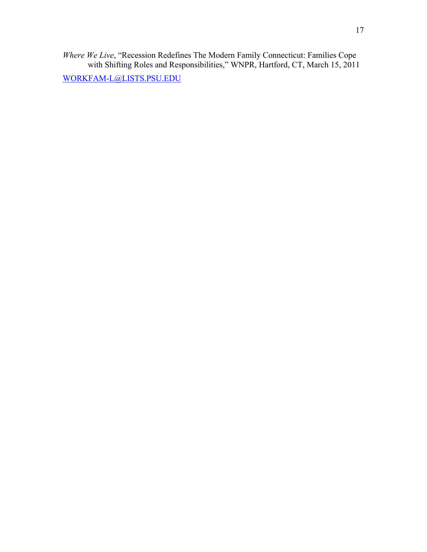*Where We Live*, "Recession Redefines The Modern Family Connecticut: Families Cope with Shifting Roles and Responsibilities," WNPR, Hartford, CT, March 15, 2011

WORKFAM-L@LISTS.PSU.EDU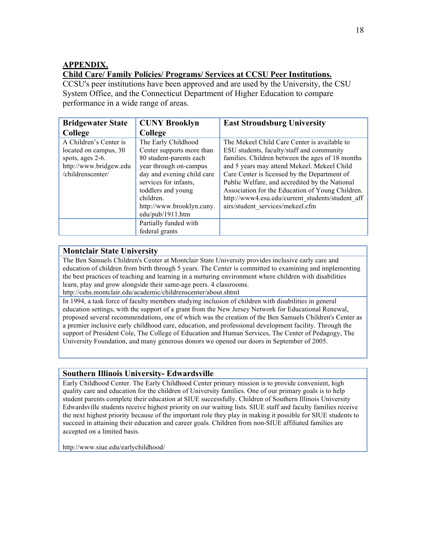# **APPENDIX.**

# **Child Care/ Family Policies/ Programs/ Services at CCSU Peer Institutions.**

CCSU's peer institutions have been approved and are used by the University, the CSU System Office, and the Connecticut Department of Higher Education to compare performance in a wide range of areas.

| <b>Bridgewater State</b>                                                                                           | <b>CUNY Brooklyn</b>                                                                                                                                                                                                                                                      | <b>East Stroudsburg University</b>                                                                                                                                                                                                                                                                                                                                                                                                         |
|--------------------------------------------------------------------------------------------------------------------|---------------------------------------------------------------------------------------------------------------------------------------------------------------------------------------------------------------------------------------------------------------------------|--------------------------------------------------------------------------------------------------------------------------------------------------------------------------------------------------------------------------------------------------------------------------------------------------------------------------------------------------------------------------------------------------------------------------------------------|
| College                                                                                                            | College                                                                                                                                                                                                                                                                   |                                                                                                                                                                                                                                                                                                                                                                                                                                            |
| A Children's Center is<br>located on campus, 30<br>spots, ages 2-6.<br>http://www.bridgew.edu<br>/childrenscenter/ | The Early Childhood<br>Center supports more than<br>80 student-parents each<br>year through on-campus<br>day and evening child care<br>services for infants,<br>toddlers and young<br>children.<br>http://www.brooklyn.cuny.<br>edu/pub/1911.htm<br>Partially funded with | The Mekeel Child Care Center is available to<br>ESU students, faculty/staff and community<br>families. Children between the ages of 18 months<br>and 5 years may attend Mekeel. Mekeel Child<br>Care Center is licensed by the Department of<br>Public Welfare, and accredited by the National<br>Association for the Education of Young Children.<br>http://www4.esu.edu/current_students/student_aff<br>airs/student services/mekeel.cfm |
|                                                                                                                    | federal grants                                                                                                                                                                                                                                                            |                                                                                                                                                                                                                                                                                                                                                                                                                                            |

# **Montclair State University**

The Ben Samuels Children's Center at Montclair State University provides inclusive early care and education of children from birth through 5 years. The Center is committed to examining and implementing the best practices of teaching and learning in a nurturing environment where children with disabilities learn, play and grow alongside their same-age peers. 4 classrooms.

http://cehs.montclair.edu/academic/childrenscenter/about.shtml

In 1994, a task force of faculty members studying inclusion of children with disabilities in general education settings, with the support of a grant from the New Jersey Network for Educational Renewal, proposed several recommendations, one of which was the creation of the Ben Samuels Children's Center as a premier inclusive early childhood care, education, and professional development facility. Through the support of President Cole, The College of Education and Human Services, The Center of Pedagogy, The University Foundation, and many generous donors we opened our doors in September of 2005.

### **Southern Illinois University- Edwardsville**

Early Childhood Center. The Early Childhood Center primary mission is to provide convenient, high quality care and education for the children of University families. One of our primary goals is to help student parents complete their education at SIUE successfully. Children of Southern Illinois University Edwardsville students receive highest priority on our waiting lists. SIUE staff and faculty families receive the next highest priority because of the important role they play in making it possible for SIUE students to succeed in attaining their education and career goals. Children from non-SIUE affiliated families are accepted on a limited basis.

http://www.siue.edu/earlychildhood/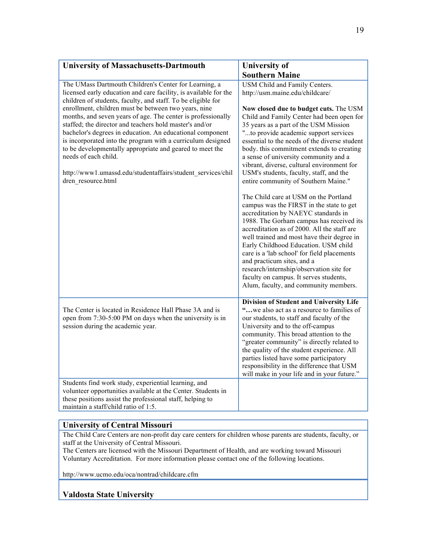| <b>University of Massachusetts-Dartmouth</b>                                                                                                                                                                                                                                                                                                                                                                                                                                         | <b>University of</b>                                                                                                                                                                                                                                                                                                                                                                                                                                                                                                  |  |
|--------------------------------------------------------------------------------------------------------------------------------------------------------------------------------------------------------------------------------------------------------------------------------------------------------------------------------------------------------------------------------------------------------------------------------------------------------------------------------------|-----------------------------------------------------------------------------------------------------------------------------------------------------------------------------------------------------------------------------------------------------------------------------------------------------------------------------------------------------------------------------------------------------------------------------------------------------------------------------------------------------------------------|--|
|                                                                                                                                                                                                                                                                                                                                                                                                                                                                                      | <b>Southern Maine</b>                                                                                                                                                                                                                                                                                                                                                                                                                                                                                                 |  |
| The UMass Dartmouth Children's Center for Learning, a<br>licensed early education and care facility, is available for the<br>children of students, faculty, and staff. To be eligible for                                                                                                                                                                                                                                                                                            | USM Child and Family Centers.<br>http://usm.maine.edu/childcare/                                                                                                                                                                                                                                                                                                                                                                                                                                                      |  |
| enrollment, children must be between two years, nine<br>months, and seven years of age. The center is professionally<br>staffed; the director and teachers hold master's and/or<br>bachelor's degrees in education. An educational component<br>is incorporated into the program with a curriculum designed<br>to be developmentally appropriate and geared to meet the<br>needs of each child.<br>http://www1.umassd.edu/studentaffairs/student_services/chil<br>dren resource.html | Now closed due to budget cuts. The USM<br>Child and Family Center had been open for<br>35 years as a part of the USM Mission<br>"to provide academic support services<br>essential to the needs of the diverse student<br>body, this commitment extends to creating<br>a sense of university community and a<br>vibrant, diverse, cultural environment for<br>USM's students, faculty, staff, and the<br>entire community of Southern Maine."                                                                         |  |
|                                                                                                                                                                                                                                                                                                                                                                                                                                                                                      | The Child care at USM on the Portland<br>campus was the FIRST in the state to get<br>accreditation by NAEYC standards in<br>1988. The Gorham campus has received its<br>accreditation as of 2000. All the staff are<br>well trained and most have their degree in<br>Early Childhood Education. USM child<br>care is a 'lab school' for field placements<br>and practicum sites, and a<br>research/internship/observation site for<br>faculty on campus. It serves students,<br>Alum, faculty, and community members. |  |
| The Center is located in Residence Hall Phase 3A and is<br>open from 7:30-5:00 PM on days when the university is in<br>session during the academic year.                                                                                                                                                                                                                                                                                                                             | Division of Student and University Life<br>"we also act as a resource to families of<br>our students, to staff and faculty of the<br>University and to the off-campus<br>community. This broad attention to the<br>"greater community" is directly related to<br>the quality of the student experience. All<br>parties listed have some participatory<br>responsibility in the difference that USM<br>will make in your life and in your future."                                                                     |  |
| Students find work study, experiential learning, and<br>volunteer opportunities available at the Center. Students in<br>these positions assist the professional staff, helping to<br>maintain a staff/child ratio of 1:5.                                                                                                                                                                                                                                                            |                                                                                                                                                                                                                                                                                                                                                                                                                                                                                                                       |  |

# **University of Central Missouri**

The Child Care Centers are non-profit day care centers for children whose parents are students, faculty, or staff at the University of Central Missouri.

The Centers are licensed with the Missouri Department of Health, and are working toward Missouri Voluntary Accreditation. For more information please contact one of the following locations.

http://www.ucmo.edu/oca/nontrad/childcare.cfm

# **Valdosta State University**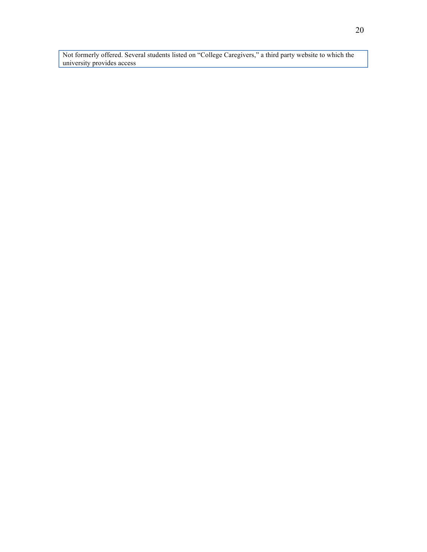Not formerly offered. Several students listed on "College Caregivers," a third party website to which the university provides access